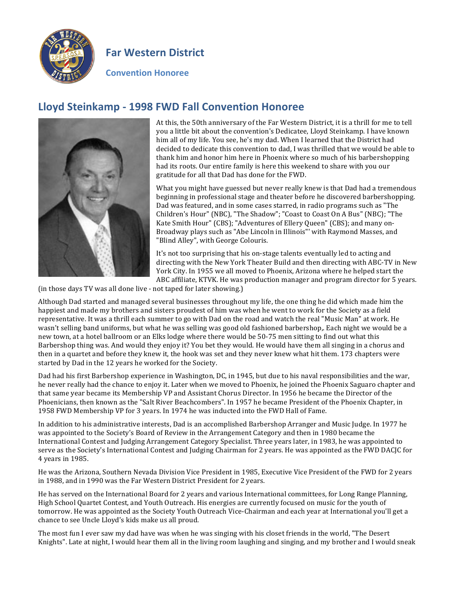

## **Far Western District**

**Convention Honoree**

## **Lloyd Steinkamp - 1998 FWD Fall Convention Honoree**



At this, the 50th anniversary of the Far Western District, it is a thrill for me to tell you a little bit about the convention's Dedicatee, Lloyd Steinkamp. I have known him all of my life. You see, he's my dad. When I learned that the District had decided to dedicate this convention to dad, I was thrilled that we would be able to thank him and honor him here in Phoenix where so much of his barbershopping had its roots. Our entire family is here this weekend to share with you our gratitude for all that Dad has done for the FWD.

What you might have guessed but never really knew is that Dad had a tremendous beginning in professional stage and theater before he discovered barbershopping. Dad was featured, and in some cases starred, in radio programs such as "The Children's Hour" (NBC), "The Shadow"; "Coast to Coast On A Bus" (NBC); "The Kate Smith Hour" (CBS); "Adventures of Ellery Queen" (CBS); and many on-Broadway plays such as "Abe Lincoln in Illinois"' with Raymond Masses, and "Blind Alley", with George Colouris.

It's not too surprising that his on-stage talents eventually led to acting and directing with the New York Theater Build and then directing with ABC-TV in New York City. In 1955 we all moved to Phoenix, Arizona where he helped start the ABC affiliate, KTVK. He was production manager and program director for 5 years.

(in those days TV was all done live - not taped for later showing.)

Although Dad started and managed several businesses throughout my life, the one thing he did which made him the happiest and made my brothers and sisters proudest of him was when he went to work for the Society as a field representative. It was a thrill each summer to go with Dad on the road and watch the real "Music Man" at work. He wasn't selling band uniforms, but what he was selling was good old fashioned barbershop,. Each night we would be a new town, at a hotel ballroom or an Elks lodge where there would be 50-75 men sitting to find out what this Barbershop thing was. And would they enjoy it? You bet they would. He would have them all singing in a chorus and then in a quartet and before they knew it, the hook was set and they never knew what hit them. 173 chapters were started by Dad in the 12 years he worked for the Society.

Dad had his first Barbershop experience in Washington, DC, in 1945, but due to his naval responsibilities and the war, he never really had the chance to enjoy it. Later when we moved to Phoenix, he joined the Phoenix Saguaro chapter and that same year became its Membership VP and Assistant Chorus Director. In 1956 he became the Director of the Phoenicians, then known as the "Salt River Beachcombers". In 1957 he became President of the Phoenix Chapter, in 1958 FWD Membership VP for 3 years. In 1974 he was inducted into the FWD Hall of Fame.

In addition to his administrative interests, Dad is an accomplished Barbershop Arranger and Music Judge. In 1977 he was appointed to the Society's Board of Review in the Arrangement Category and then in 1980 became the International Contest and Judging Arrangement Category Specialist. Three years later, in 1983, he was appointed to serve as the Society's International Contest and Judging Chairman for 2 years. He was appointed as the FWD DACJC for 4 years in 1985.

He was the Arizona, Southern Nevada Division Vice President in 1985, Executive Vice President of the FWD for 2 years in 1988, and in 1990 was the Far Western District President for 2 years.

He has served on the International Board for 2 years and various International committees, for Long Range Planning, High School Quartet Contest, and Youth Outreach. His energies are currently focused on music for the youth of tomorrow. He was appointed as the Society Youth Outreach Vice-Chairman and each year at International you'll get a chance to see Uncle Lloyd's kids make us all proud.

The most fun I ever saw my dad have was when he was singing with his closet friends in the world, "The Desert Knights". Late at night, I would hear them all in the living room laughing and singing, and my brother and I would sneak